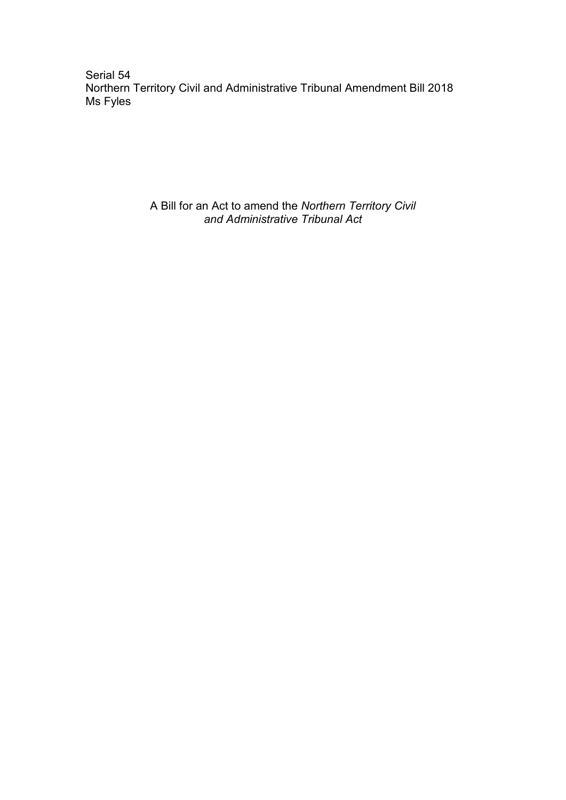Serial 54 Northern Territory Civil and Administrative Tribunal Amendment Bill 2018 Ms Fyles

> A Bill for an Act to amend the *Northern Territory Civil and Administrative Tribunal Act*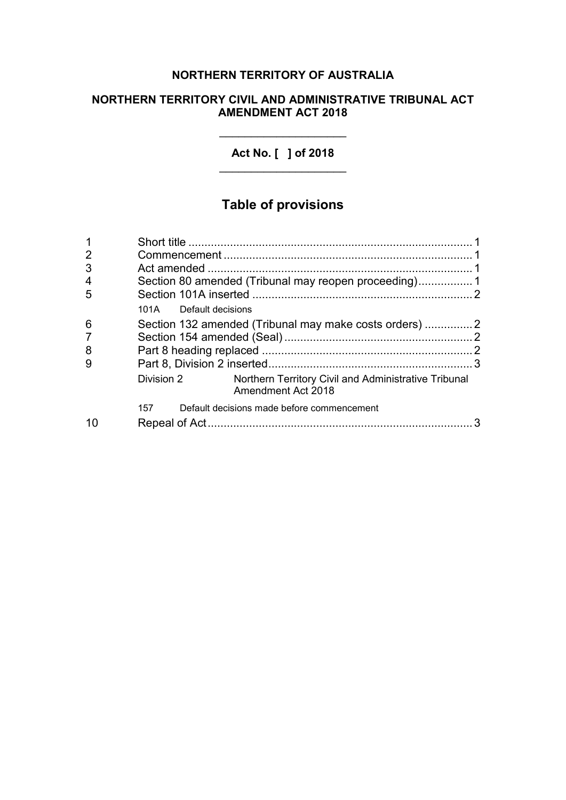# **NORTHERN TERRITORY OF AUSTRALIA**

## **NORTHERN TERRITORY CIVIL AND ADMINISTRATIVE TRIBUNAL ACT AMENDMENT ACT 2018**

**Act No. [ ] of 2018**  $\overline{\phantom{a}}$  , where  $\overline{\phantom{a}}$  , where  $\overline{\phantom{a}}$  , where  $\overline{\phantom{a}}$ 

\_\_\_\_\_\_\_\_\_\_\_\_\_\_\_\_\_\_\_\_

# **Table of provisions**

| $\overline{2}$ |                                                      |                                                                            |  |
|----------------|------------------------------------------------------|----------------------------------------------------------------------------|--|
| 3              |                                                      |                                                                            |  |
| 4              |                                                      | Section 80 amended (Tribunal may reopen proceeding)1                       |  |
| 5              |                                                      |                                                                            |  |
|                | 101A Default decisions                               |                                                                            |  |
| 6              | Section 132 amended (Tribunal may make costs orders) |                                                                            |  |
| 7              |                                                      |                                                                            |  |
| 8              |                                                      |                                                                            |  |
| 9              |                                                      |                                                                            |  |
|                | Division 2                                           | Northern Territory Civil and Administrative Tribunal<br>Amendment Act 2018 |  |
|                | Default decisions made before commencement<br>157    |                                                                            |  |
| 10             |                                                      |                                                                            |  |
|                |                                                      |                                                                            |  |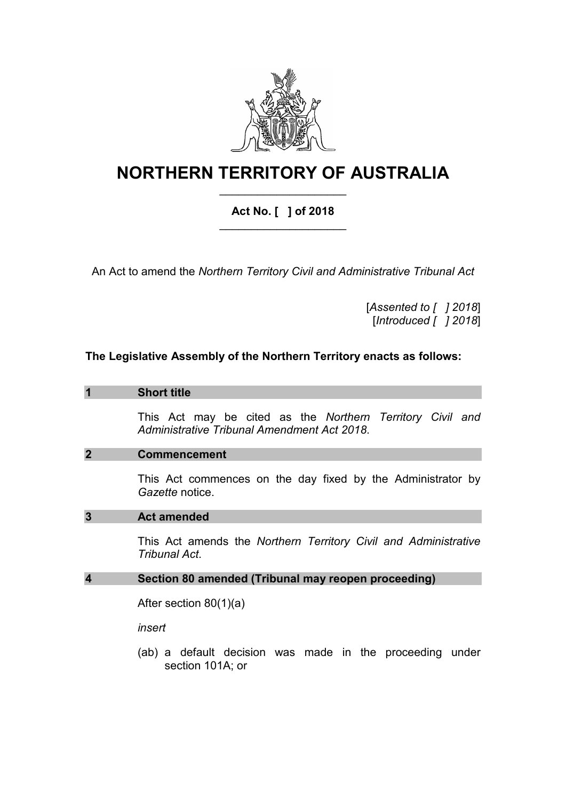

# **NORTHERN TERRITORY OF AUSTRALIA** \_\_\_\_\_\_\_\_\_\_\_\_\_\_\_\_\_\_\_\_

# **Act No. [ ] of 2018** \_\_\_\_\_\_\_\_\_\_\_\_\_\_\_\_\_\_\_\_

An Act to amend the *Northern Territory Civil and Administrative Tribunal Act*

[*Assented to [ ] 2018*] [*Introduced [ ] 2018*]

### **The Legislative Assembly of the Northern Territory enacts as follows:**

#### **1 Short title**

This Act may be cited as the *Northern Territory Civil and Administrative Tribunal Amendment Act 2018*.

#### **2 Commencement**

This Act commences on the day fixed by the Administrator by *Gazette* notice.

#### **3 Act amended**

This Act amends the *Northern Territory Civil and Administrative Tribunal Act*.

#### **4 Section 80 amended (Tribunal may reopen proceeding)**

After section 80(1)(a)

*insert*

(ab) a default decision was made in the proceeding under section 101A; or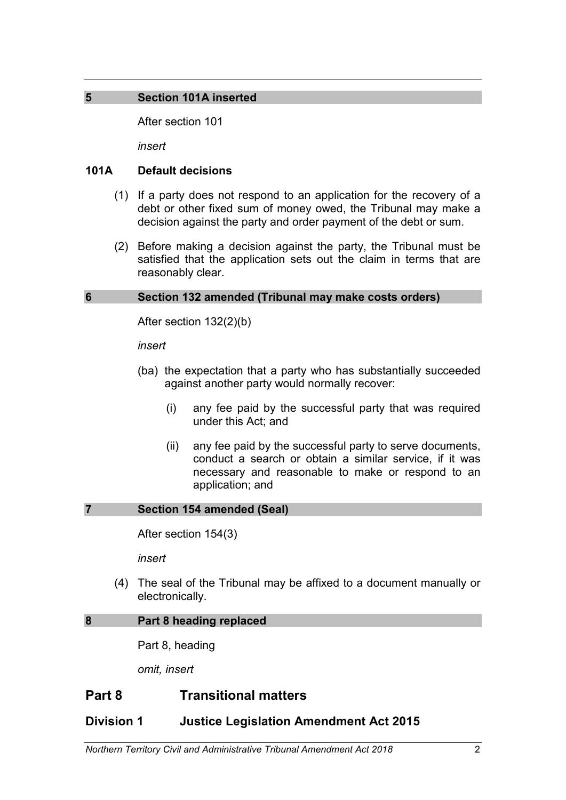## **5 Section 101A inserted**

After section 101

*insert*

### **101A Default decisions**

- (1) If a party does not respond to an application for the recovery of a debt or other fixed sum of money owed, the Tribunal may make a decision against the party and order payment of the debt or sum.
- (2) Before making a decision against the party, the Tribunal must be satisfied that the application sets out the claim in terms that are reasonably clear.

### **6 Section 132 amended (Tribunal may make costs orders)**

After section 132(2)(b)

#### *insert*

- (ba) the expectation that a party who has substantially succeeded against another party would normally recover:
	- (i) any fee paid by the successful party that was required under this Act; and
	- (ii) any fee paid by the successful party to serve documents, conduct a search or obtain a similar service, if it was necessary and reasonable to make or respond to an application; and

#### **7 Section 154 amended (Seal)**

After section 154(3)

*insert*

(4) The seal of the Tribunal may be affixed to a document manually or electronically.

#### **8 Part 8 heading replaced**

Part 8, heading

*omit, insert*

# **Part 8 Transitional matters**

## **Division 1 Justice Legislation Amendment Act 2015**